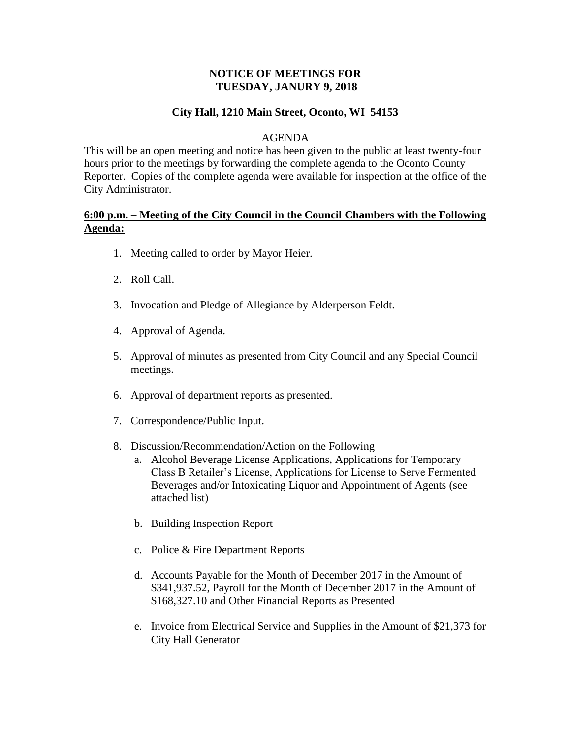## **NOTICE OF MEETINGS FOR TUESDAY, JANURY 9, 2018**

## **City Hall, 1210 Main Street, Oconto, WI 54153**

#### AGENDA

This will be an open meeting and notice has been given to the public at least twenty-four hours prior to the meetings by forwarding the complete agenda to the Oconto County Reporter. Copies of the complete agenda were available for inspection at the office of the City Administrator.

## **6:00 p.m. – Meeting of the City Council in the Council Chambers with the Following Agenda:**

- 1. Meeting called to order by Mayor Heier.
- 2. Roll Call.
- 3. Invocation and Pledge of Allegiance by Alderperson Feldt.
- 4. Approval of Agenda.
- 5. Approval of minutes as presented from City Council and any Special Council meetings.
- 6. Approval of department reports as presented.
- 7. Correspondence/Public Input.
- 8. Discussion/Recommendation/Action on the Following
	- a. Alcohol Beverage License Applications, Applications for Temporary Class B Retailer's License, Applications for License to Serve Fermented Beverages and/or Intoxicating Liquor and Appointment of Agents (see attached list)
	- b. Building Inspection Report
	- c. Police & Fire Department Reports
	- d. Accounts Payable for the Month of December 2017 in the Amount of \$341,937.52, Payroll for the Month of December 2017 in the Amount of \$168,327.10 and Other Financial Reports as Presented
	- e. Invoice from Electrical Service and Supplies in the Amount of \$21,373 for City Hall Generator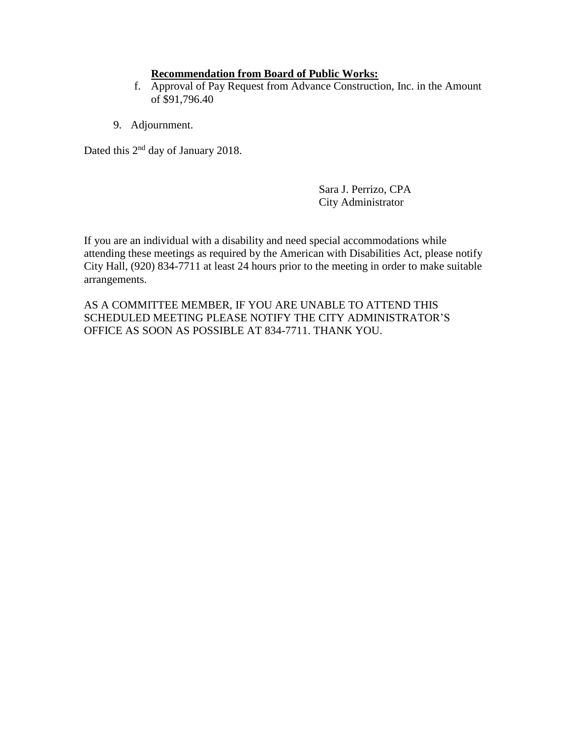## **Recommendation from Board of Public Works:**

- f. Approval of Pay Request from Advance Construction, Inc. in the Amount of \$91,796.40
- 9. Adjournment.

Dated this  $2<sup>nd</sup>$  day of January 2018.

Sara J. Perrizo, CPA City Administrator

If you are an individual with a disability and need special accommodations while attending these meetings as required by the American with Disabilities Act, please notify City Hall, (920) 834-7711 at least 24 hours prior to the meeting in order to make suitable arrangements.

AS A COMMITTEE MEMBER, IF YOU ARE UNABLE TO ATTEND THIS SCHEDULED MEETING PLEASE NOTIFY THE CITY ADMINISTRATOR'S OFFICE AS SOON AS POSSIBLE AT 834-7711. THANK YOU.